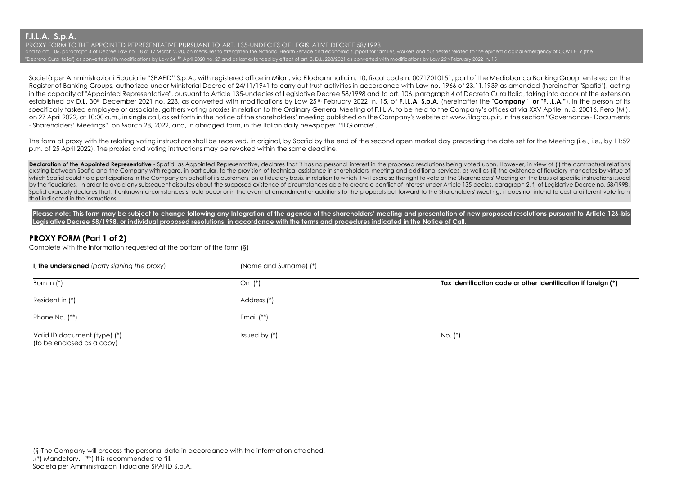**F.I.L.A. S.p.A.**

PROXY FORM TO THE APPOINTED REPRESENTATIVE PURSUANT TO ART. 135-UNDECIES OF LEGISLATIVE DECREE 58/1998 and to art. 106, paragraph 4 of Decree Law no. 18 of 17 March 2020, on measures to strengthen the National Health Service and economic support for families, workers and businesses related to the epidemiological emergency o "Decreto Cura Italia") as converted with modifications by Law 24 <sup>th</sup> April 2020 no. 27 and as last extended by effect of art. 3, D.L. 228/2021 as converted with modifications by Law 25<sup>th</sup> February 2022 n. 15

Società per Amministrazioni Fiduciarie "SPAFID" S.p.A., with registered office in Milan, via Filodrammatici n. 10, fiscal code n. 00717010151, part of the Mediobanca Banking Group entered on the Register of Banking Groups, authorized under Ministerial Decree of 24/11/1941 to carry out trust activities in accordance with Law no. 1966 of 23.11.1939 as amended (hereinafter "Spafid"), acting in the capacity of "Appointed Representative", pursuant to Article 135-undecies of Legislative Decree 58/1998 and to art. 106, paragraph 4 of Decreto Cura Italia, taking into account the extension established by D.L. 30th December 2021 no. 228, as converted with modifications by Law 25 th February 2022 n. 15, of **F.I.L.A. S.p.A.** (hereinafter the "**Company**" **or "F.I.L.A."**), in the person of its specifically tasked employee or associate, gathers voting proxies in relation to the Ordinary General Meeting of F.I.L.A. to be held to the Company's offices at via XXV Aprile, n. 5, 20016, Pero (MI), on 27 April 2022, at 10:00 a.m., in single call, as set forth in the notice of the shareholders' meeting published on the Company's website at www.filagroup.it, in the section "Governance - Documents - Shareholders' Meetings" on March 28, 2022, and, in abridged form, in the Italian daily newspaper "Il Giornale".

The form of proxy with the relating voting instructions shall be received, in original, by Spafid by the end of the second open market day preceding the date set for the Meeting (i.e., i.e., by 11:59 p.m. of 25 April 2022). The proxies and voting instructions may be revoked within the same deadline.

**Declaration of the Appointed Representative -** Spatid as Appointed Representative declares that it has no personal interest in the proposed resolutions being yoted upon. However in view of (i) the contractual relations existing between Spafid and the Company with regard, in particular, to the provision of technical assistance in shareholders' meeting and additional services, as well as (ii) the existence of fiduciary mandates by virtue o which Spafid could hold participations in the Company on behalf of its customers, on a fiduciary basis, in relation to which it will exercise the right to vote at the Shareholders' Meeting on the basis of specific instruct by the fiduciaries, in order to avoid any subsequent disputes about the supposed existence of circumstances able to create a conflict of interest under Article 135-decies, paragraph 2, f) of Legislative Decree no. 58/1998, Spafid expressly declares that, if unknown circumstances should occur or in the event of amendment or additions to the proposals put forward to the Shareholders' Meeting, it does not intend to cast a different vote from that indicated in the instructions.

Please note: This form may be subject to change following any Integration of the agenda of the shareholders' meeting and presentation of new proposed resolutions pursuant to Article 126-bis **Legislative Decree 58/1998, or individual proposed resolutions, in accordance with the terms and procedures indicated in the Notice of Call.**

## **PROXY FORM (Part 1 of 2)**

Complete with the information requested at the bottom of the form (§)

| I, the undersigned (party signing the proxy)               | (Name and Surname) (*) |                                                                |
|------------------------------------------------------------|------------------------|----------------------------------------------------------------|
| Born in $(*)$                                              | On (*)                 | Tax identification code or other identification if foreign (*) |
| Resident in (*)                                            | Address (*)            |                                                                |
| Phone No. (**)                                             | Email $(**)$           |                                                                |
| Valid ID document (type) (*)<br>(to be enclosed as a copy) | Issued by $(*)$        | No. (*)                                                        |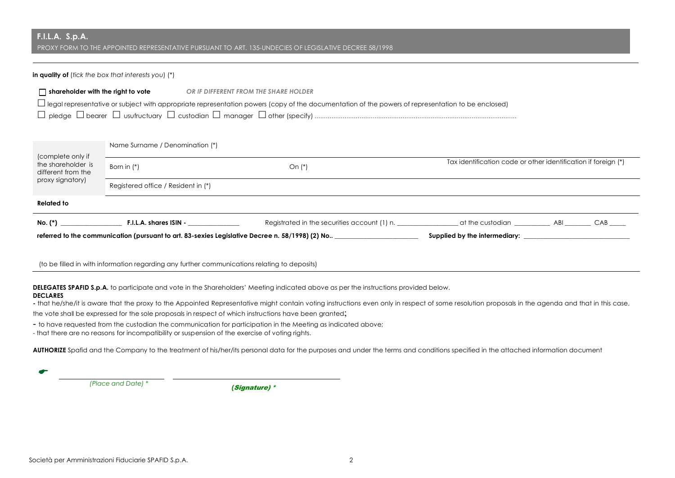## **F.I.L.A. S.p.A.** PROXY FORM TO THE APPOINTED REPRESENTATIVE PURSUANT TO ART. 135-UNDECIES OF LEGISLATIVE DECREE 58/1998

### **in quality of** (*tick the box that interests you*) (\*)

| $\sqcap$ shareholder with the right to vote | OR IF DIFFERENT FROM THE SHARE HOLDER                                                                                                               |
|---------------------------------------------|-----------------------------------------------------------------------------------------------------------------------------------------------------|
|                                             | L legal representative or subject with appropriate representation powers (copy of the documentation of the powers of representation to be enclosed) |
|                                             |                                                                                                                                                     |
|                                             |                                                                                                                                                     |

| (complete only if<br>the shareholder is<br>different from the | Name Surname / Denomination (*)                                                                 |                                                                                              |                                                                |  |  |  |  |
|---------------------------------------------------------------|-------------------------------------------------------------------------------------------------|----------------------------------------------------------------------------------------------|----------------------------------------------------------------|--|--|--|--|
|                                                               | Born in (*)                                                                                     | On $(*)$                                                                                     | Tax identification code or other identification if foreign (*) |  |  |  |  |
| proxy signatory)                                              | Registered office / Resident in (*)                                                             |                                                                                              |                                                                |  |  |  |  |
| <b>Related to</b>                                             |                                                                                                 |                                                                                              |                                                                |  |  |  |  |
| $No.$ $(*)$                                                   | F.I.L.A. shares ISIN -                                                                          | Registrated in the securities account (1) n. The art he custodian and the Securities and ABI |                                                                |  |  |  |  |
|                                                               | referred to the communication (pursuant to art. 83-sexies Legislative Decree n. 58/1998) (2) No |                                                                                              | Supplied by the intermediary:                                  |  |  |  |  |

(to be filled in with information regarding any further communications relating to deposits)

**DELEGATES SPAFID S.p.A.** to participate and vote in the Shareholders' Meeting indicated above as per the instructions provided below.

## **DECLARES**

**-** that he/she/it is aware that the proxy to the Appointed Representative might contain voting instructions even only in respect of some resolution proposals in the agenda and that in this case,

the vote shall be expressed for the sole proposals in respect of which instructions have been granted;

- to have requested from the custodian the communication for participation in the Meeting as indicated above;

- that there are no reasons for incompatibility or suspension of the exercise of voting rights.

AUTHORIZE Spafid and the Company to the treatment of his/her/its personal data for the purposes and under the terms and conditions specified in the attached information document

E

 *(Place and Date) \* (*Signature) \*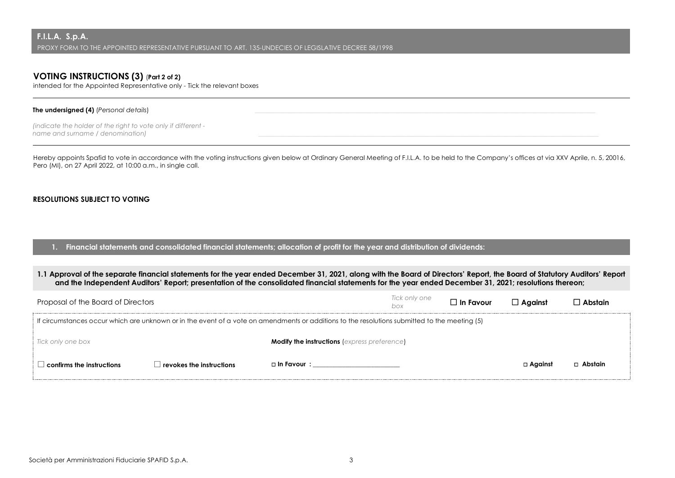## **VOTING INSTRUCTIONS (3)** (**Part 2 of 2)**

intended for the Appointed Representative only - Tick the relevant boxes

#### **The undersigned (4)** (*Personal details*)

*(indicate the holder of the right to vote only if different name and surname / denomination)* 

Hereby appoints Spafid to vote in accordance with the voting instructions given below at Ordinary General Meeting of F.I.L.A. to be held to the Company's offices at via XXV Aprile, n. 5, 20016, Pero (MI), on 27 April 2022, at 10:00 a.m., in single call.

## **RESOLUTIONS SUBJECT TO VOTING**

**1. Financial statements and consolidated financial statements; allocation of profit for the year and distribution of dividends:**

## **1.1 Approval of the separate financial statements for the year ended December 31, 2021, along with the Board of Directors' Report, the Board of Statutory Auditors' Report and the Independent Auditors' Report; presentation of the consolidated financial statements for the year ended December 31, 2021; resolutions thereon;**

| Proposal of the Board of Directors                                                                                                            |                                 |                                                     | Tick only one<br>box | $\Box$ In Favour | $\Box$ Against | ] Abstain |
|-----------------------------------------------------------------------------------------------------------------------------------------------|---------------------------------|-----------------------------------------------------|----------------------|------------------|----------------|-----------|
| If circumstances occur which are unknown or in the event of a vote on amendments or additions to the resolutions submitted to the meeting (5) |                                 |                                                     |                      |                  |                |           |
| Tick only one box                                                                                                                             |                                 | <b>Modify the instructions</b> (express preference) |                      |                  |                |           |
| $\Box$ confirms the instructions $\Box$                                                                                                       | $\Box$ revokes the instructions | □ In Favour :                                       |                      |                  | $\Box$ Against | □ Abstain |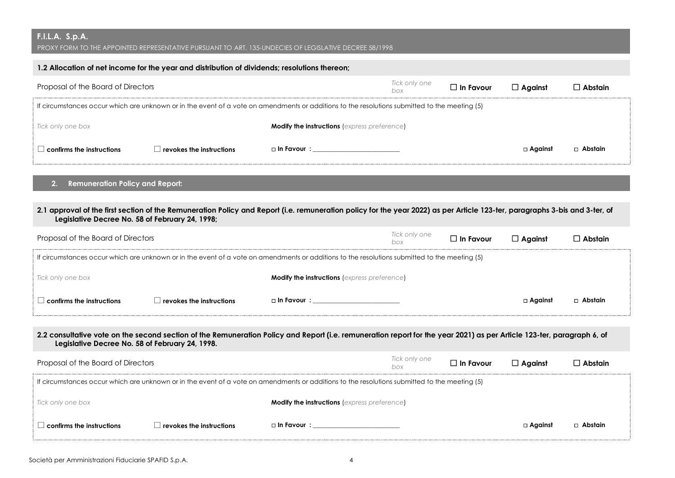# **F.I.L.A. S.p.A.**

 $^\prime$  PROXY FORM TO THE APPOINTED REPRESENTATIVE PURSUANT TO ART. 135-UNDECIES OF LEGISLATIVE DECREE 58/1998

| 1.2 Allocation of net income for the year and distribution of dividends; resolutions thereon; |                                                                                                                                               |  |  |  |                |                |  |  |  |
|-----------------------------------------------------------------------------------------------|-----------------------------------------------------------------------------------------------------------------------------------------------|--|--|--|----------------|----------------|--|--|--|
| Tick only one<br>Proposal of the Board of Directors<br>$\Box$ In Favour<br>box                |                                                                                                                                               |  |  |  | $\Box$ Against | $\Box$ Abstain |  |  |  |
|                                                                                               | If circumstances occur which are unknown or in the event of a vote on amendments or additions to the resolutions submitted to the meeting (5) |  |  |  |                |                |  |  |  |
| <b>Modify the instructions</b> (express preference)<br>Tick only one box                      |                                                                                                                                               |  |  |  |                |                |  |  |  |
| $\mid$ confirms the instructions                                                              | $\Box$ revokes the instructions                                                                                                               |  |  |  | $\Box$ Against | □ Abstain      |  |  |  |

## **2. Remuneration Policy and Report:**

## **2.1 approval of the first section of the Remuneration Policy and Report (i.e. remuneration policy for the year 2022) as per Article 123-ter, paragraphs 3-bis and 3-ter, of Legislative Decree No. 58 of February 24, 1998;**

| Proposal of the Board of Directors                                                                                                            |                                 |                                                     | Tick only one<br>box | $\Box$ In Favour | $\Box$ Against | $\Box$ Abstain |
|-----------------------------------------------------------------------------------------------------------------------------------------------|---------------------------------|-----------------------------------------------------|----------------------|------------------|----------------|----------------|
| If circumstances occur which are unknown or in the event of a vote on amendments or additions to the resolutions submitted to the meeting (5) |                                 |                                                     |                      |                  |                |                |
| Tick only one box                                                                                                                             |                                 | <b>Modify the instructions</b> (express preference) |                      |                  |                |                |
| $\Box$ confirms the instructions $\Box$                                                                                                       | $\Box$ revokes the instructions | □ In Favour :                                       |                      |                  | □ Against      | □ Abstain      |

## **2.2 consultative vote on the second section of the Remuneration Policy and Report (i.e. remuneration report for the year 2021) as per Article 123-ter, paragraph 6, of Legislative Decree No. 58 of February 24, 1998.**

| Proposal of the Board of Directors                                                                                                            |                                  |                                                     | Tick only one<br>box | $\Box$ In Favour | $\Box$ Against | $\Box$ Abstain |
|-----------------------------------------------------------------------------------------------------------------------------------------------|----------------------------------|-----------------------------------------------------|----------------------|------------------|----------------|----------------|
| If circumstances occur which are unknown or in the event of a vote on amendments or additions to the resolutions submitted to the meeting (5) |                                  |                                                     |                      |                  |                |                |
| Tick only one box                                                                                                                             |                                  | <b>Modify the instructions</b> (express preference) |                      |                  |                |                |
| $\mathsf{l}$ confirms the instructions                                                                                                        | $\vert$ revokes the instructions |                                                     |                      |                  | □ Against      | $\Box$ Abstain |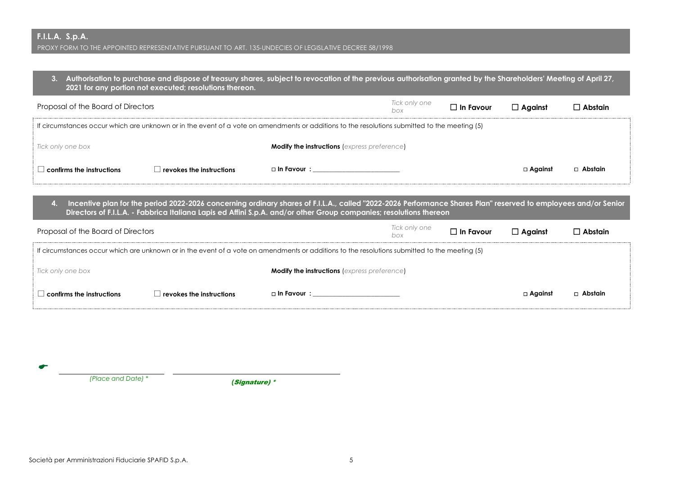**3. Authorisation to purchase and dispose of treasury shares, subject to revocation of the previous authorisation granted by the Shareholders' Meeting of April 27, 2021 for any portion not executed; resolutions thereon.**

| Proposal of the Board of Directors                                                                                                            |                                  |                                                     | Tick only one<br>box | $\Box$ In Favour | $\Box$ Against | $\Box$ Abstain |
|-----------------------------------------------------------------------------------------------------------------------------------------------|----------------------------------|-----------------------------------------------------|----------------------|------------------|----------------|----------------|
| If circumstances occur which are unknown or in the event of a vote on amendments or additions to the resolutions submitted to the meeting (5) |                                  |                                                     |                      |                  |                |                |
| Tick only one box                                                                                                                             |                                  | <b>Modify the instructions</b> (express preference) |                      |                  |                |                |
| $\Box$ confirms the instructions                                                                                                              | $\perp$ revokes the instructions | $\Box$ In Favour $\colon$                           |                      |                  | $\Box$ Against | □ Abstain      |

**4. Incentive plan for the period 2022-2026 concerning ordinary shares of F.I.L.A., called "2022-2026 Performance Shares Plan" reserved to employees and/or Senior Directors of F.I.L.A. - Fabbrica Italiana Lapis ed Affini S.p.A. and/or other Group companies; resolutions thereon**

| Proposal of the Board of Directors                                                                                                            |                                 |                                                     | Tick only one<br>box | $\Box$ In Favour | $\Box$ Against    | ] Abstain |
|-----------------------------------------------------------------------------------------------------------------------------------------------|---------------------------------|-----------------------------------------------------|----------------------|------------------|-------------------|-----------|
| If circumstances occur which are unknown or in the event of a vote on amendments or additions to the resolutions submitted to the meeting (5) |                                 |                                                     |                      |                  |                   |           |
| Tick only one box                                                                                                                             |                                 | <b>Modify the instructions (express preference)</b> |                      |                  |                   |           |
| $\Box$ confirms the instructions $\Box$                                                                                                       | $\Box$ revokes the instructions | $\Box$ In Favour $\colon$                           |                      |                  | $\square$ Against | □ Abstain |

 *(Place and Date) \* (*Signature) \*

E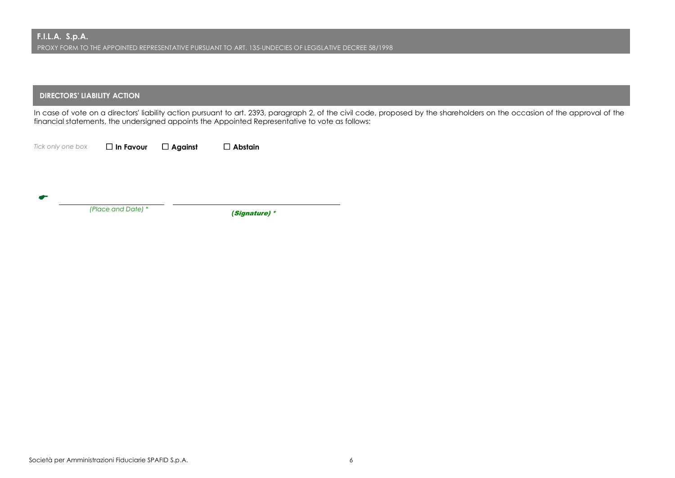## **DIRECTORS' LIABILITY ACTION**

In case of vote on a directors' liability action pursuant to art. 2393, paragraph 2, of the civil code, proposed by the shareholders on the occasion of the approval of the financial statements, the undersigned appoints the Appointed Representative to vote as follows:

 $\bullet$ 

*Tick only one box* \* **In Favour** \* **Against** \* **Abstain**

 *(Place and Date) \* (*Signature) \*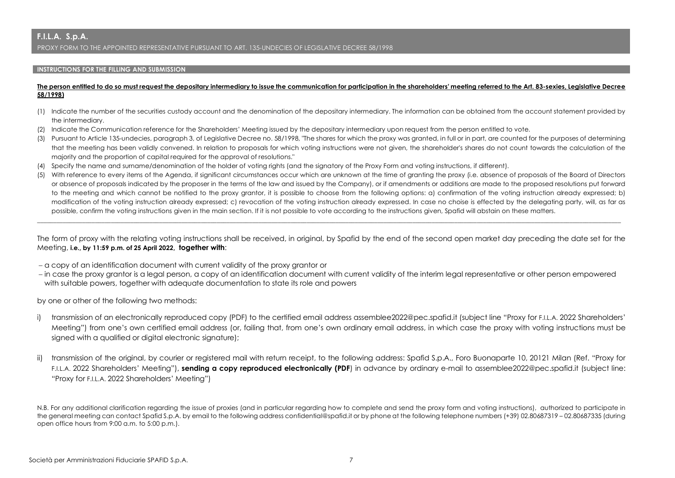#### **INSTRUCTIONS FOR THE FILLING AND SUBMISSION**

#### **The person entitled to do so must request the depositary intermediary to issue the communication for participation in the shareholders' meeting referred to the Art. 83-sexies, Legislative Decree 58/1998)**

- (1) Indicate the number of the securities custody account and the denomination of the depositary intermediary. The information can be obtained from the account statement provided by the intermediary.
- (2) Indicate the Communication reference for the Shareholders' Meeting issued by the depositary intermediary upon request from the person entitled to vote.
- (3) Pursuant to Article 135-undecies, paragraph 3, of Legislative Decree no. 58/1998, "The shares for which the proxy was granted, in full or in part, are counted for the purposes of determining that the meeting has been validly convened. In relation to proposals for which voting instructions were not given, the shareholder's shares do not count towards the calculation of the majority and the proportion of capital required for the approval of resolutions."
- (4) Specify the name and surname/denomination of the holder of voting rights (and the signatory of the Proxy Form and voting instructions, if different).
- (5) With reference to every items of the Agenda, if significant circumstances occur which are unknown at the time of granting the proxy (i.e. absence of proposals of the Board of Directors or absence of proposals indicated by the proposer in the terms of the law and issued by the Company), or if amendments or additions are made to the proposed resolutions put forward to the meeting and which cannot be notified to the proxy grantor, it is possible to choose from the following options: a) confirmation of the voting instruction already expressed; b) modification of the voting instruction already expressed; c) revocation of the voting instruction already expressed. In case no choise is effected by the delegating party, will, as far as possible, confirm the voting instructions given in the main section. If it is not possible to vote according to the instructions given, Spafid will abstain on these matters.

The form of proxy with the relating voting instructions shall be received, in original, by Spafid by the end of the second open market day preceding the date set for the Meeting, **i.e., by 11:59 p.m. of 25 April 2022, together with**:

\_\_\_\_\_\_\_\_\_\_\_\_\_\_\_\_\_\_\_\_\_\_\_\_\_\_\_\_\_\_\_\_\_\_\_\_\_\_\_\_\_\_\_\_\_\_\_\_\_\_\_\_\_\_\_\_\_\_\_\_\_\_\_\_\_\_\_\_\_\_\_\_\_\_\_\_\_\_\_\_\_\_\_\_\_\_\_\_\_\_\_\_\_\_\_\_\_\_\_\_\_\_\_\_\_\_\_\_\_\_\_\_\_\_\_\_\_\_\_\_\_\_\_\_\_\_\_\_\_\_\_\_\_\_\_\_\_\_\_\_\_\_\_\_\_\_\_\_\_\_\_\_\_\_\_\_\_\_\_\_\_\_\_\_\_\_\_\_\_\_\_\_\_\_\_\_\_\_\_\_\_\_

- a copy of an identification document with current validity of the proxy grantor or
- in case the proxy grantor is a legal person, a copy of an identification document with current validity of the interim legal representative or other person empowered with suitable powers, together with adequate documentation to state its role and powers

by one or other of the following two methods:

- i) transmission of an electronically reproduced copy (PDF) to the certified email address assemblee2022@pec.spafid.it (subject line "Proxy for F.I.L.A. 2022 Shareholders' Meeting") from one's own certified email address (or, failing that, from one's own ordinary email address, in which case the proxy with voting instructions must be signed with a qualified or digital electronic signature);
- transmission of the original, by courier or registered mail with return receipt, to the following address: Spafid S.p.A., Foro Buonaparte 10, 20121 Milan (Ref. "Proxy for F.I.L.A. 2022 Shareholders' Meeting"), **sending a copy reproduced electronically (PDF**) in advance by ordinary e-mail to assemblee2022@pec.spafid.it (subject line: "Proxy for F.I.L.A. 2022 Shareholders' Meeting")

N.B. For any additional clarification regarding the issue of proxies (and in particular regarding how to complete and send the proxy form and voting instructions), authorized to participate in the general meeting can contact Spafid S.p.A. by email to the following address confidential@spafid.it or by phone at the following telephone numbers (+39) 02.80687319 – 02.80687335 (during open office hours from 9:00 a.m. to 5:00 p.m.).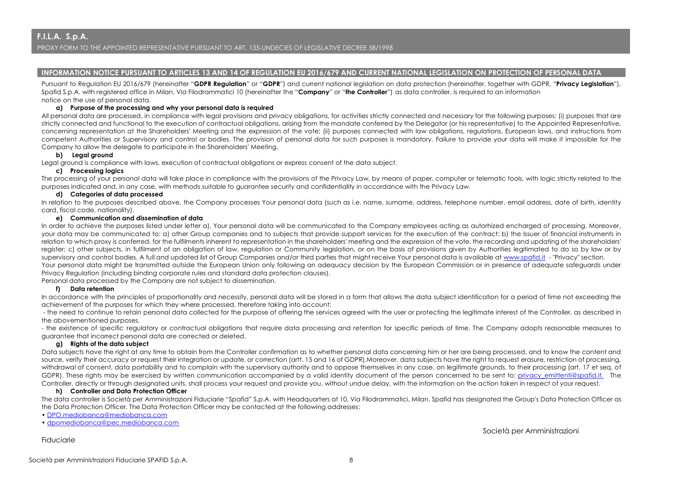#### **INFORMATION NOTICE PURSUANT TO ARTICLES 13 AND 14 OF REGULATION EU 2016/679 AND CURRENT NATIONAL LEGISLATION ON PROTECTION OF PERSONAL DATA**

Pursuant to Regulation EU 2016/679 (hereinafter "**GDPR Regulation**" or "**GDPR**") and current national legislation on data protection (hereinafter, together with GDPR, "**Privacy Legislation**"), Spafid S.p.A. with registered office in Milan, Via Filodrammatici 10 (hereinafter the "**Company**" or "**the Controller**") as data controller, is required to an information notice on the use of personal data.

#### **a) Purpose of the processing and why your personal data is required**

All personal data are processed, in compliance with legal provisions and privacy obligations, for activities strictly connected and necessary for the following purposes: (i) purposes that are strictly connected and functional to the execution of contractual obligations, arising from the mandate conferred by the Delegator (or his representative) to the Appointed Representative, concerning representation at the Shareholders' Meeting and the expression of the vote; (ii) purposes connected with law obligations, regulations, European laws, and instructions from competent Authorities or Supervisory and control or bodies. The provision of personal data for such purposes is mandatory. Failure to provide your data will make it impossible for the Company to allow the delegate to participate in the Shareholders' Meeting.

### **b) Legal ground**

Legal ground is compliance with laws, execution of contractual obligations or express consent of the data subject.

#### **c) Processing logics**

The processing of your personal data will take place in compliance with the provisions of the Privacy Law, by means of paper, computer or telematic tools, with logic strictly related to the purposes indicated and, in any case, with methods suitable to guarantee security and confidentiality in accordance with the Privacy Law.

#### **d) Categories of data processed**

In relation to the purposes described above, the Company processes Your personal data (such as i.e. name, surname, address, telephone number, email address, date of birth, identity card, fiscal code, nationality).

#### **e) Communication and dissemination of data**

In order to achieve the purposes listed under letter a). Your personal data will be communicated to the Company employees acting as autorhized encharged of processing. Moreover, your data may be communicated to: a) other Group companies and to subjects that provide support services for the execution of the contract; b) the Issuer of financial instruments in relation to which proxy is conferred, for the fulfilments inherent to representation in the shareholders' meeting and the expression of the vote, the recording and updating of the shareholders' register; c) other subjects, in fulfilment of an obligation of law, regulation or Community legislation, or on the basis of provisions given by Authorities legitimated to do so by law or by supervisory and control bodies. A full and updated list of Group Companies and/or third parties that might receive Your personal data is available at www.spafid.it - "Privacy" section. Your personal data might be transmitted outside the European Union only following an adequacy decision by the European Commission or in presence of adequate safeguards under Privacy Regulation (including binding corporate rules and standard data protection clauses).

Personal data processed by the Company are not subject to dissemination.

#### **f) Data retention**

In accordance with the principles of proportionality and necessity, personal data will be stored in a form that allows the data subject identification for a period of time not exceeding the achievement of the purposes for which they where processed, therefore taking into account:

- the need to continue to retain personal data collected for the purpose of offering the services agreed with the user or protecting the legitimate interest of the Controller, as described in the abovementioned purposes,

- the existence of specific regulatory or contractual obligations that require data processing and retention for specific periods of time. The Company adopts reasonable measures to guarantee that incorrect personal data are corrected or deleted.

#### **g) Rights of the data subject**

Data subjects have the right at any time to obtain from the Controller confirmation as to whether personal data concerning him or her are being processed, and to know the content and source, verify their accuracy or request their integration or update, or correction (artt. 15 and 16 of GDPR).Moreover, data subjects have the right to request erasure, restriction of processing, withdrawal of consent, data portability and to complain with the supervisory authority and to oppose themselves in any case, on legitimate grounds, to their processing (art. 17 et seq. of GDPR). These rights may be exercised by written communication accompanied by a valid identity document of the person concerned to be sent to: privacy\_emittenti@spafid.it. The Controller, directly or through designated units, shall process your request and provide you, without undue delay, with the information on the action taken in respect of your request.

#### **h) Controller and Data Protection Officer**

The data controller is Società per Amministrazioni Fiduciarie "Spafid" S.p.A. with Headquarters at 10, Via Filodrammatici, Milan. Spafid has designated the Group's Data Protection Officer as the Data Protection Officer. The Data Protection Officer may be contacted at the following addresses:

- DPO.mediobanca@mediobanca.com
- dpomediobanca@pec.mediobanca.com

Fiduciarie

Società per Amministrazioni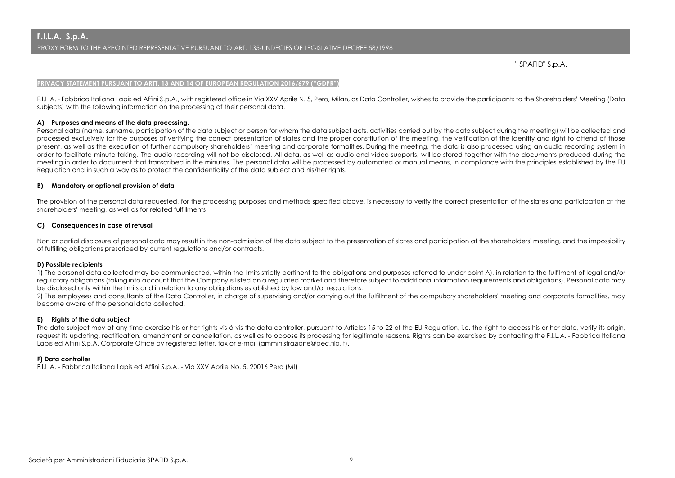" SPAFID" S.p.A.

#### **PRIVACY STATEMENT PURSUANT TO ARTT. 13 AND 14 OF EUROPEAN REGULATION 2016/679 ("GDPR")**

F.I.L.A. - Fabbrica Italiana Lapis ed Affini S.p.A., with registered office in Via XXV Aprile N. 5, Pero, Milan, as Data Controller, wishes to provide the participants to the Shareholders' Meeting (Data subjects) with the following information on the processing of their personal data.

#### **A) Purposes and means of the data processing.**

Personal data (name, surname, participation of the data subject or person for whom the data subject acts, activities carried out by the data subject during the meeting) will be collected and processed exclusively for the purposes of verifying the correct presentation of slates and the proper constitution of the meeting, the verification of the identity and right to attend of those present, as well as the execution of further compulsory shareholders' meeting and corporate formalities. During the meeting, the data is also processed using an audio recording system in order to facilitate minute-taking. The audio recording will not be disclosed. All data, as well as audio and video supports, will be stored together with the documents produced during the meeting in order to document that transcribed in the minutes. The personal data will be processed by automated or manual means, in compliance with the principles established by the EU Regulation and in such a way as to protect the confidentiality of the data subject and his/her rights.

#### **B) Mandatory or optional provision of data**

The provision of the personal data requested, for the processing purposes and methods specified above, is necessary to verify the correct presentation of the slates and participation at the shareholders' meeting, as well as for related fulfillments.

#### **C) Consequences in case of refusal**

Non or partial disclosure of personal data may result in the non-admission of the data subject to the presentation of slates and participation at the shareholders' meeting, and the impossibility of fulfilling obligations prescribed by current regulations and/or contracts.

#### **D) Possible recipients**

1) The personal data collected may be communicated, within the limits strictly pertinent to the obligations and purposes referred to under point A), in relation to the fulfilment of legal and/or regulatory obligations (taking into account that the Company is listed on a regulated market and therefore subject to additional information requirements and obligations). Personal data may be disclosed only within the limits and in relation to any obligations established by law and/or regulations.

2) The employees and consultants of the Data Controller, in charge of supervising and/or carrying out the fulfillment of the compulsory shareholders' meeting and corporate formalities, may become aware of the personal data collected.

#### **E) Rights of the data subject**

The data subject may at any time exercise his or her rights vis-à-vis the data controller, pursuant to Articles 15 to 22 of the EU Requlation, i.e. the right to access his or her data, verify its origin, request its updating, rectification, amendment or cancellation, as well as to oppose its processing for legitimate reasons. Rights can be exercised by contacting the F.I.L.A. - Fabbrica Italiana Lapis ed Affini S.p.A. Corporate Office by registered letter, fax or e-mail (amministrazione@pec.fila.it).

#### **F) Data controller**

F.I.L.A. - Fabbrica Italiana Lapis ed Affini S.p.A. - Via XXV Aprile No. 5, 20016 Pero (MI)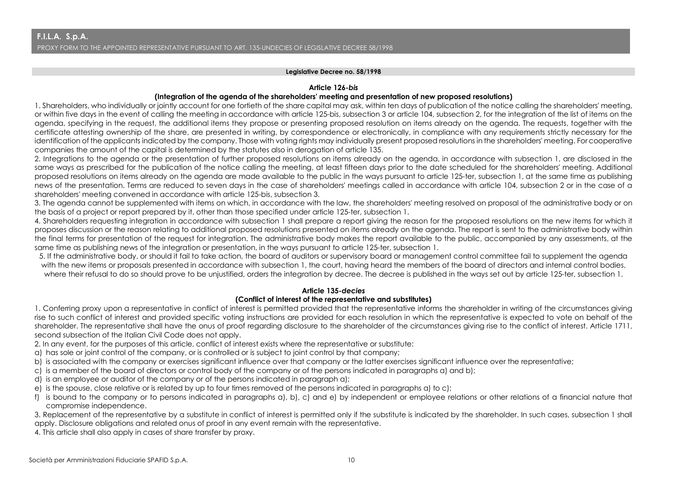#### **Legislative Decree no. 58/1998**

#### **Article 126-***bis*

### **(Integration of the agenda of the shareholders' meeting and presentation of new proposed resolutions)**

1. Shareholders, who individually or jointly account for one fortieth of the share capital may ask, within ten days of publication of the notice calling the shareholders' meeting, or within five days in the event of calling the meeting in accordance with article 125-bis, subsection 3 or article 104, subsection 2, for the integration of the list of items on the agenda, specifying in the request, the additional items they propose or presenting proposed resolution on items already on the agenda. The requests, together with the certificate attesting ownership of the share, are presented in writing, by correspondence or electronically, in compliance with any requirements strictly necessary for the identification of the applicants indicated by the company. Those with voting rights may individually present proposed resolutions in the shareholders' meeting. For cooperative companies the amount of the capital is determined by the statutes also in derogation of article 135.

2. Integrations to the agenda or the presentation of further proposed resolutions on items already on the agenda, in accordance with subsection 1, are disclosed in the same ways as prescribed for the publication of the notice calling the meeting, at least fifteen days prior to the date scheduled for the shareholders' meeting. Additional proposed resolutions on items already on the agenda are made available to the public in the ways pursuant to article 125-ter, subsection 1, at the same time as publishing news of the presentation. Terms are reduced to seven days in the case of shareholders' meetings called in accordance with article 104, subsection 2 or in the case of a shareholders' meeting convened in accordance with article 125-bis, subsection 3.

3. The agenda cannot be supplemented with items on which, in accordance with the law, the shareholders' meeting resolved on proposal of the administrative body or on the basis of a project or report prepared by it, other than those specified under article 125-ter, subsection 1.

4. Shareholders requesting integration in accordance with subsection 1 shall prepare a report giving the reason for the proposed resolutions on the new items for which it proposes discussion or the reason relating to additional proposed resolutions presented on items already on the agenda. The report is sent to the administrative body within the final terms for presentation of the request for integration. The administrative body makes the report available to the public, accompanied by any assessments, at the same time as publishing news of the integration or presentation, in the ways pursuant to article 125-ter, subsection 1.

5. If the administrative body, or should it fail to take action, the board of auditors or supervisory board or management control committee fail to supplement the agenda with the new items or proposals presented in accordance with subsection 1, the court, having heard the members of the board of directors and internal control bodies, where their refusal to do so should prove to be unjustified, orders the integration by decree. The decree is published in the ways set out by article 125-ter, subsection 1.

## **Article 135-***decies*

## **(Conflict of interest of the representative and substitutes)**

1. Conferring proxy upon a representative in conflict of interest is permitted provided that the representative informs the shareholder in writing of the circumstances giving rise to such conflict of interest and provided specific voting instructions are provided for each resolution in which the representative is expected to vote on behalf of the shareholder. The representative shall have the onus of proof regarding disclosure to the shareholder of the circumstances giving rise to the conflict of interest. Article 1711, second subsection of the Italian Civil Code does not apply.

2. In any event, for the purposes of this article, conflict of interest exists where the representative or substitute:

- a) has sole or joint control of the company, or is controlled or is subject to joint control by that company;
- b) is associated with the company or exercises significant influence over that company or the latter exercises significant influence over the representative;
- c) is a member of the board of directors or control body of the company or of the persons indicated in paragraphs a) and b);
- d) is an employee or auditor of the company or of the persons indicated in paragraph a);
- e) is the spouse, close relative or is related by up to four times removed of the persons indicated in paragraphs a) to c);
- f) is bound to the company or to persons indicated in paragraphs a), b), c) and e) by independent or employee relations or other relations of a financial nature that compromise independence.

3. Replacement of the representative by a substitute in conflict of interest is permitted only if the substitute is indicated by the shareholder. In such cases, subsection 1 shall apply. Disclosure obligations and related onus of proof in any event remain with the representative.

4. This article shall also apply in cases of share transfer by proxy.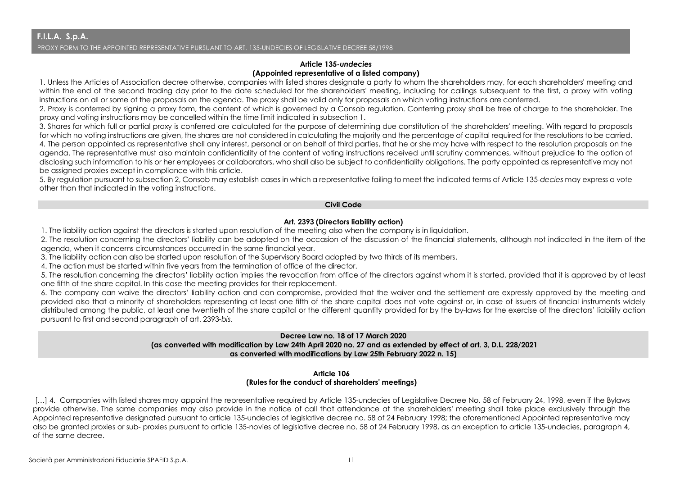## **Article 135-***undecies* **(Appointed representative of a listed company)**

1. Unless the Articles of Association decree otherwise, companies with listed shares designate a party to whom the shareholders may, for each shareholders' meeting and within the end of the second trading day prior to the date scheduled for the shareholders' meeting, including for callings subsequent to the first, a proxy with voting instructions on all or some of the proposals on the agenda. The proxy shall be valid only for proposals on which voting instructions are conferred.

2. Proxy is conferred by signing a proxy form, the content of which is governed by a Consob regulation. Conferring proxy shall be free of charge to the shareholder. The proxy and voting instructions may be cancelled within the time limit indicated in subsection 1.

3. Shares for which full or partial proxy is conferred are calculated for the purpose of determining due constitution of the shareholders' meeting. With regard to proposals for which no voting instructions are given, the shares are not considered in calculating the majority and the percentage of capital required for the resolutions to be carried. 4. The person appointed as representative shall any interest, personal or on behalf of third parties, that he or she may have with respect to the resolution proposals on the agenda. The representative must also maintain confidentiality of the content of voting instructions received until scrutiny commences, without prejudice to the option of disclosing such information to his or her employees or collaborators, who shall also be subject to confidentiality obligations. The party appointed as representative may not be assigned proxies except in compliance with this article.

5. By regulation pursuant to subsection 2, Consob may establish cases in which a representative failing to meet the indicated terms of Article 135-*decies* may express a vote other than that indicated in the voting instructions.

## **Civil Code**

## **Art. 2393 (Directors liability action)**

1. The liability action against the directors is started upon resolution of the meeting also when the company is in liquidation.

2. The resolution concerning the directors' liability can be adopted on the occasion of the discussion of the financial statements, although not indicated in the item of the agenda, when it concerns circumstances occurred in the same financial year.

3. The liability action can also be started upon resolution of the Supervisory Board adopted by two thirds of its members.

4. The action must be started within five years from the termination of office of the director.

5. The resolution concerning the directors' liability action implies the revocation from office of the directors against whom it is started, provided that it is approved by at least one fifth of the share capital. In this case the meeting provides for their replacement.

6. The company can waive the directors' liability action and can compromise, provided that the waiver and the settlement are expressly approved by the meeting and provided also that a minority of shareholders representing at least one fifth of the share capital does not vote against or, in case of issuers of financial instruments widely distributed among the public, at least one twentieth of the share capital or the different quantity provided for by the by-laws for the exercise of the directors' liability action pursuant to first and second paragraph of art. 2393-*bis*.

## **Decree Law no. 18 of 17 March 2020 (as converted with modification by Law 24th April 2020 no. 27 and as extended by effect of art. 3, D.L. 228/2021 as converted with modifications by Law 25th February 2022 n. 15)**

## **Article 106 (Rules for the conduct of shareholders' meetings)**

[...] 4. Companies with listed shares may appoint the representative required by Article 135-undecies of Legislative Decree No. 58 of February 24, 1998, even if the Bylaws provide otherwise. The same companies may also provide in the notice of call that attendance at the shareholders' meeting shall take place exclusively through the Appointed representative designated pursuant to article 135-undecies of legislative decree no. 58 of 24 February 1998; the aforementioned Appointed representative may also be granted proxies or sub- proxies pursuant to article 135-novies of legislative decree no. 58 of 24 February 1998, as an exception to article 135-undecies, paragraph 4, of the same decree.